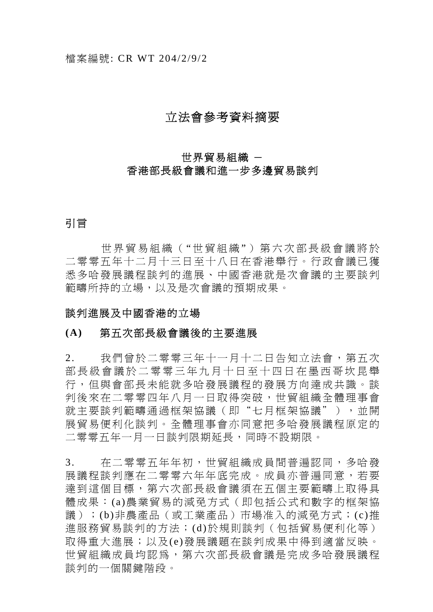# 立法會參考資料摘要

# 世界貿易組織 -

## 香港部長級會議和進一步多邊貿易談判

# 引言

世界貿易組織("世貿組織")第六次部長級會議將於 二零零五年十二月十三日至十八日在香港舉行。行政會議已獲 悉多哈發展議程談判的進展、中國香港就是次會議的主要談判 範疇所持的立場,以及是次會議的預期成果。

## 談判進展及中國香港的立場

## **(A)** 第五次部長級會議後的主要進展

2. 我們曾於二零零三年十一月十二日告知立法會,第五次 部長級會議於二零零三年九月 十日至十四日在墨西哥坎昆舉 行,但與會部長未能就多哈發展議程的發展方向達成共識。談 判後來在二零零四年八月一日取得突破,世貿組織全體理事會 就主要談判範疇通過框架協議(即"七月框架協議"),並開 展貿易便利化談判。全體理事會亦同意把多哈發展議程原定的 二零零五年一月一日談判限期延長,同時不設期限。

3. 在二零零五年年初,世貿組織成員間普遍認同,多哈發 展議程談判應在二零零六年年底完成。成員亦普遍同意,若要 達到這個目標,第六次部長級會議須在五個主要範疇上取得具 體成果:(a)農業貿易的減免方式(即包括公式和數字的框架協 議);(b)非農產品(或工業產品)市場准入的減免方式;(c)推 進服務貿易談判的方法;(d)於規則談判(包括貿易便利化等) 取得重大進展;以及(e)發展議題在談判成果中得到適當反映。 世貿組織成員均認為,第六次部長級會議是完成多哈發展議程 談判的一個關鍵階段。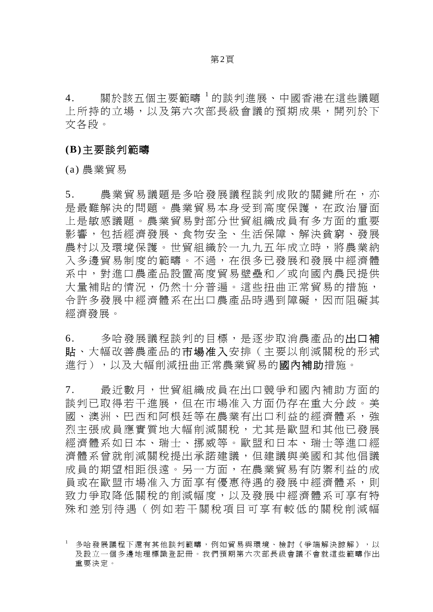4. 關於該五個主要範疇 <sup>1</sup> 的談判進展、中國香港在這些議題 上所持的立場,以及第六次部長級會議的預期成果,開列於下 文各段。

### **(B)**主要談判範疇

(a) 農業貿易

5. 農業貿易議題是多哈發展議程談判成敗的關鍵所在,亦 是最難解決的問題。農業貿易本身受到高度保護,在政治層面 上是敏感議題。農業貿易對部分世貿組織成員有多方面的重要 影響,包括經濟發展、食物安全、生活保障、解決貧窮、發展 農村以及環境保護。世貿組織於一九九五年成立時,將農業納 入多邊貿易制度的範疇。不過,在很多已發展和發展中經濟體 系中,對進口農產品設置高度貿易壁壘和/或向國內農民提供 大量補貼的情況,仍然十分普遍。這些扭曲正常貿易的措施, 令許多發展中經濟體系在出口農產品時遇到障礙,因而阻礙其 經濟發展。

6. 多哈發展議程談判的目標,是逐步取消農產品的出口補 貼、大幅改善農產品的市場准入安排(主要以削減關稅的形式 進行),以及大幅削減扭曲正常農業貿易的國內補助措施。

7. 最近數月,世貿組織成員在出口競爭和國內補助方面的 談判已取得若干進展,但在市場准入方面仍存在重大分歧。美 國、澳洲、巴西和阿根廷等在農業有出口利益的經濟體系,強 烈主張成員應實質地大幅削減關稅,尤其是歐盟和其他已發展 經濟體系如日本、瑞士、挪威等。歐盟和日本、瑞士等進口經 濟體系曾就削減關稅提出承諾建議,但建議與美國和其他倡議 成員的期望相距很遠。另一方面,在農業貿易有防禦利益的成 員或在歐盟市場准入方面享有優惠待遇的發展中經濟體系,則 致力爭取降低關稅的削減幅度,以及發展中經濟體系可享有特 殊和差別待遇(例如若干關稅 項目可享有較低的關稅削減幅

<sup>1</sup> 多哈發展議程下還有其他談判範疇,例如貿易與環境、檢討《爭端解決諒解》,以 及設立一個多邊地理標識登記冊。我們預期第六次部長級會議不會就這些範疇作出 重要決定。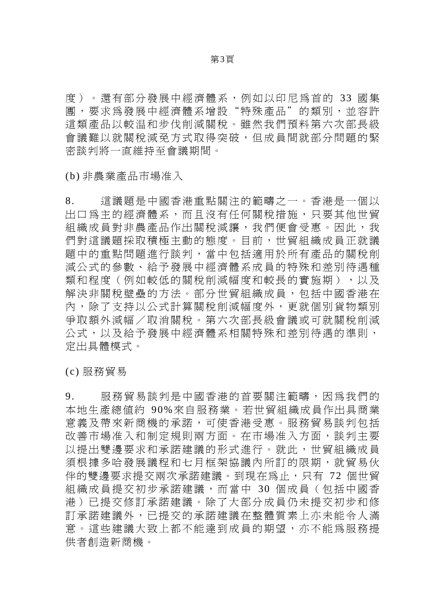度)。還有部分發展中經濟體系,例如以印尼為首的 33 國集 團,要求為發展中經濟體系增設"特殊產品"的類別,並容許 這類產品以較温和步伐削減關稅。雖然我們預料第六次部長級 會議難以就關稅減免方式取得突破,但成員間就部分問題的緊 密談判將一直維持至會議期間。

(b) 非農業產品市場准入

8. 這議題是中國香港重點關注的範疇之一。香港是一個以 出口為主的經濟體系,而且沒有任何關稅措施,只要其他世貿 組織成員對非農產品作出關稅減讓,我們便會受惠。因此,我 們對這議題採取積極主動的態度。目前,世貿組織成員正就議 題中的重點問題進行談判,當中包括適用於所有產品的關稅削 減公式的參數、給予發展中經濟體系成員的特殊和差別待遇種 類和程度(例如較低的關稅削減幅度和較長的實施期),以及 解決非關稅壁壘的方法。部分世貿組織成員,包括中國香港在 內,除了支持以公式計算關稅削減幅度外,更就個別貨物類別 爭取額外減幅/取消關稅。第六次部長級會議或可就關稅削減 公式,以及給予發展中經濟體系相關特殊和差別待遇的準則, 定出具體模式。

(c) 服務貿易

9. 服務貿易談判是中國香港的首要關注範疇,因為我們的 本地生產總值約 90%來自服務業。若世貿組織成員作出具商業 意義及帶來新商機的承諾,可使香港受惠。服務貿易談判包括 改善市場准入和制定規則兩方面。在市場准入方面,談判主要 以提出雙邊要求和承諾建議的形式進行。就此,世貿組織成員 須根據多哈發展議程和七月框架協議內所訂的限期,就貿易伙 伴的雙邊要求提交兩次承諾建議。到現在為止,只有 72 個世貿 組織成員提交初步承諾建議,而當中 30 個成員(包括中國香 港)已提交修訂承諾建議。除了大部分成員仍未提交初步和修 訂承諾建議外,已提交的承諾建議在整體質素上亦未能令人滿 意。這些建議大致上都不能達到成員的期望,亦不能為服務提 供者創造新商機。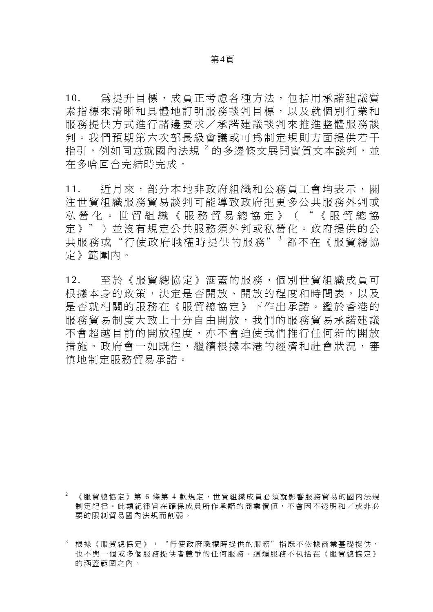10. 為提升目標,成員正考慮各種方法,包括用承諾建議質 素指標來清晰和具體地訂明服務談判目標,以及就個別行業和 服務提供方式進行諸邊要求/承諾建議談判來推進整體服務談 判。我們預期第六次部長級會議或可為制定規則方面提供若干 指引,例如同意就國內法規 <sup>2</sup> 的多邊條文展開實質文本談判,並 在多哈回合完結時完成。

11. 近月來,部分本地非政府組織和公務員工會均表示,關 注世貿組織服務貿易談判可能導致政府把更多公共服務外判或 私營化。世貿組織《服務貿易總協定》("《服貿總協 定》")並沒有規定公共服務須外判或私營化。政府提供的公 共服務或"行使政府職權時提供的服務"3都不在《服貿總協 定》範圍內。

12. 至於《服貿總協定》涵蓋的服務,個別世貿組織成員可 根據本身的政策,決定是否開放、開放的程度和時間表,以及 是否就相關的服務在《服貿總協定》下作出承諾。鑑於香港的 服務貿易制度大致上十分自由開放,我們的服務貿易承諾建議 不會超越目前的開放程度,亦不會迫使我們推行任何新的開放 措施。政府會一如既往,繼續根據本港的經濟和社會狀況,審 慎地制定服務貿易承諾。

<sup>《</sup>服貿總協定》第 6 條第 4 款規定,世貿組織成員必須就影響服務貿易的國內法規 制定紀律。此類紀律旨在確保成員所作承諾的商業價值,不會因不透明和/或非必 要的限制貿易國內法規而削弱。

<sup>3</sup> 根據《服貿總協定》,"行使政府職權時提供的服務"指既不依據商業基礎提供, 也不與一個或多個服務提供者競爭的任何服務。這類服務不包括在《服貿總協定》 的涵蓋範圍之內。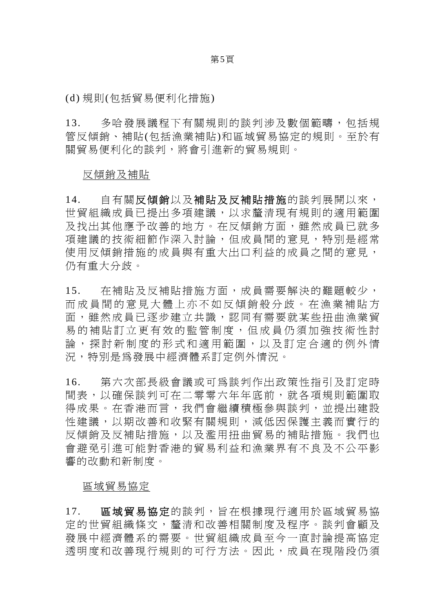#### 第5頁

(d) 規則(包括貿易便利化措施)

13. 多哈發展議程下有關規則的談判涉及數個範疇,包括規 管反傾銷、補貼(包括漁業補貼)和區域貿易協定的規則。至於有 關貿易便利化的談判,將會引進新的貿易規則。

## 反傾銷及補貼

14. 自有關反傾銷以及補貼及反補貼措施的談判展開以來, 世貿組織成員已提出多項建議,以求釐清現有規則的適用範圍 及找出其他應予改善的地方。在反傾銷方面,雖然成員已就多 項建議的技術細節作深入討論,但成員間的意見,特別是經常 使用反傾銷措施的成員與有重大出口利益的成員之間的意見, 仍有重大分歧。

15. 在補貼及反補貼措施方面,成員需要解決的難題較少, 而成員間的意見大體上亦不如 反傾銷般分歧。在漁業補貼方 面,雖然成員已逐步建立共識,認同有需要就某些扭曲漁業貿 易的補貼訂立更有效的監管制度,但成員仍須加強技術性討 論,探討新制度的形式和適用範圍,以及訂定合適的例外情 況,特別是為發展中經濟體系訂定例外情況。

16. 第六次部長級會議或可為談判作出政策性指引及訂定時 間表,以確保談判可在二零零六年年底前,就各項規則範圍取 得成果。在香港而言,我們會繼續積極參與談判,並提出建設 性建議,以期改善和收緊有關規則,減低因保護主義而實行的 反傾銷及反補貼措施,以及濫用扭曲貿易的補貼措施。我們也 會避免引進可能對香港的貿易利益和漁業界有不良及不公平影 響的改動和新制度。

#### 區域貿易協定

17. 區域貿易協定的談判,旨在根據現行適用於區域貿易協 定的世貿組織條文,釐清和改善相關制度及程序。談判會顧及 發展中經濟體系的需要。世貿組織成員至今一直討論提高協定 透明度和改善現行規則的可行方法。因此,成員在現階段仍須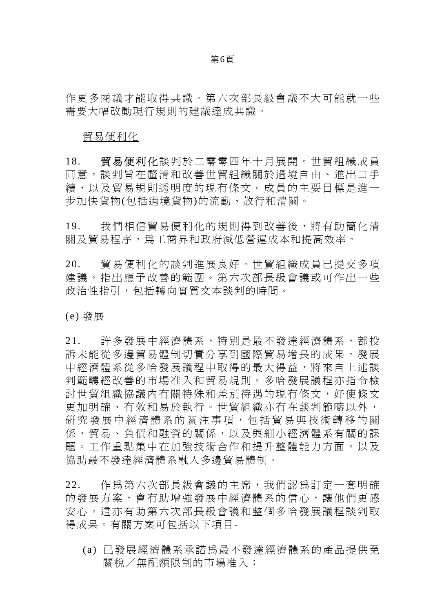#### 第6頁

作更多商議才能取得共識。第六次部長級會議不大可能就一些 需要大幅改動現行規則的建議達成共識。

#### 貿易便利化

18. 貿易便利化談判於二零零四年十月展開。世貿組織成員 同意,談判旨在釐清和改善世貿組織關於過境自由、進出口手 續,以及貿易規則透明度的現有條文。成員的主要目標是進一 步加快貨物(包括過境貨物)的流動、放行和清關。

19. 我們相信貿易便利化的規則得到改善後,將有助簡化清 關及貿易程序,為工商界和政府減低營運成本和提高效率。

20. 貿易便利化的談判進展良好。世貿組織成員已提交多項 建議,指出應予改善的範圍。第六次部長級會議或可作出一些 政治性指引,包括轉向實質文本談判的時間。

(e) 發展

21. 許多發展中經濟體系,特別是最不發達經濟體系,都投 訴未能從多邊貿易體制切實分享到國際貿易增長的成果。發展 中經濟體系從多哈發展議程中取得的最大得益,將來自上述談 判範疇經改善的市場准入和貿易規則。多哈發展議程亦指令檢 討世貿組織協議內有關特殊和差別待遇的現有條文,好使條文 更加明確、有效和易於執行。世貿組織亦有在談判範疇以外, 研究發展中經濟體系的關注事項,包括貿易與技術轉移的關 係,貿易、負債和融資的關係,以及與細小經濟體系有關的課 題。工作重點集中在加強技術合作和提升整體能力方面,以及 協助最不發達經濟體系融入多邊貿易體制。

22. 作為第六次部長級會議的主席,我們認為訂定一套明確 的發展方案,會有助增強發展中經濟體系的信心,讓他們更感 安心。這亦有助第六次部長級會議和整個多哈發展議程談判取 得成果。有關方案可包括以下項目-

(a) 已發展經濟體系承諾為最不發達經濟體系的產品提供免 關稅/無配額限制的市場准入;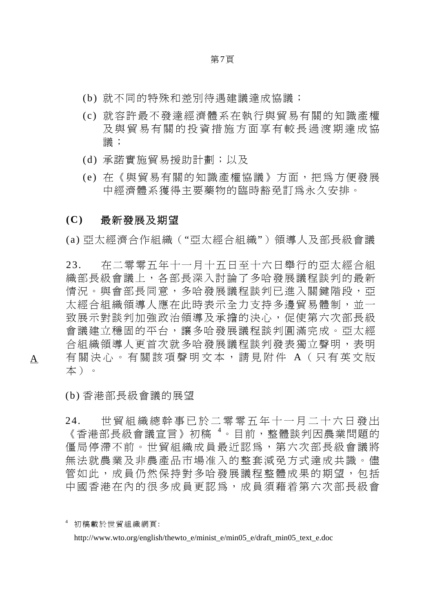- (b) 就不同的特殊和差別待遇建議達成協議;
- (c) 就容許最不發達經濟體系在執行與貿易有關的知識產權 及與貿易有關的投資措施方面享有較長過渡期達成協 議;
- (d) 承諾實施貿易援助計劃;以及
- (e) 在《與貿易有關的知識產權協議》方面,把為方便發展 中經濟體系獲得主要藥物的臨時豁免訂為永久安排。

### **(C)** 最新發展及期望

(a) 亞太經濟合作組織("亞太經合組織")領導人及部長級會議

23. 在二零零五年十一月十五日至十六日舉行的亞太經合組 織部長級會議上,各部長深入討論了多哈發展議程談判的最新 情況。與會部長同意,多哈發展議程談判已淮入關鍵階段,亞 太經合組織領導人應在此時表示全力支持多邊貿易體制,並一 致展示對談判加強政治領導及承擔的決心,促使第六次部長級 會議建立穩固的平台,讓多哈發展議程談判圓滿完成。亞太經 合組織領導人更首次就多哈發展議程談判發表獨立聲明,表明 有關決心。有關該項聲明文本,請見附件 A (只有英文版 本)。

(b) 香港部長級會議的展望

24. 世貿組織總幹事已於二零零五年十一月二十六日發出 《香港部長級會議宣言》初稿 <sup>4</sup> 。目前,整體談判因農業問題的 僵局停滯不前。世貿組織成員最近認為,第六次部長級會議將 無法就農業及非農產品市場准入的整套減免方式達成共識。儘 管如此,成員仍然保持對多哈發展議程整體成果的期望,包括 中國香港在內的很多成員更認為,成員須藉着第六次部長級會

A

<sup>4</sup> 初稿載於世貿組織網頁: http://www.wto.org/english/thewto\_e/minist\_e/min05\_e/draft\_min05\_text\_e.doc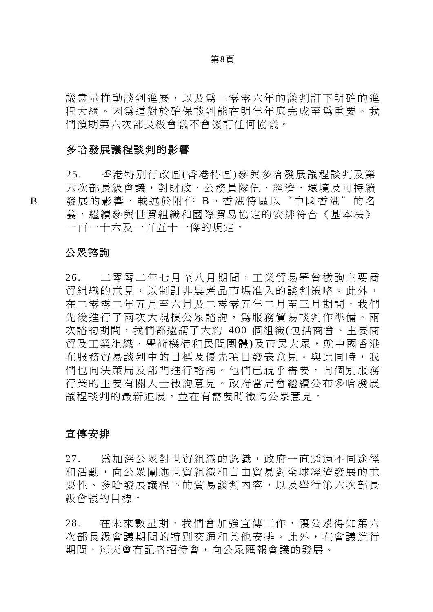第8頁

議盡量推動談判進展,以及為二零零六年的談判訂下明確的進 程大綱。因為這對於確保談判能在明年年底完成至為重要。我 們預期第六次部長級會議不會簽訂任何協議。

### 多哈發展議程談判的影響

25. 香港特別行政區(香港特區)參與多哈發展議程談判及第 六次部長級會議,對財政、公務員隊伍、經濟、環境及可持續 發展的影響,載述於附件 B。香港特區以"中國香港"的名 義,繼續參與世貿組織和國際貿易協定的安排符合《基本法》 一百一十六及一百五十一條的規定。

## 公眾諮詢

26. 二零零二年七月至八月期間,工業貿易署曾徵詢主要商 貿組織的意見,以制訂非農產品市場准入的談判策略。此外, 在二零零二年五月至六月及二零零五年二月至三月期間,我們 先後進行了兩次大規模公眾諮詢,為服務貿易談判作準備。兩 次諮詢期間,我們都邀請了大約 400 個組織(包括商會、主要商 貿及工業組織、學術機構和民間團體)及市民大眾,就中國香港 在服務貿易談判中的目標及優先項目發表意見。與此同時,我 們也向決策局及部門進行諮詢。他們已視乎需要,向個別服務 行業的主要有關人士徵詢意見。政府當局會繼續公布多哈發展 議程談判的最新進展,並在有需要時徵詢公眾意見。

## 宣傳安排

27. 為加深公眾對世貿組織的認識,政府一直透過不同途徑 和活動,向公眾闡述世貿組織和自由貿易對全球經濟發展的重 要性、多哈發展議程下的貿易談判內容,以及舉行第六次部長 級會議的目標。

28. 在未來數星期,我們會加強宣傳工作,讓公眾得知第六 次部長級會議期間的特別交通和其他安排。此外,在會議進行 期間,每天會有記者招待會,向公眾匯報會議的發展。

B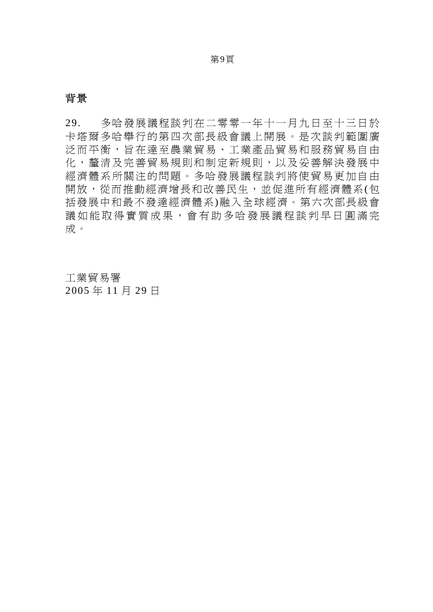# 背景

29. 多哈發展議程談判在二零零一年十一月九日至十三日於 卡塔爾多哈舉行的第四次部長級會議上開展。是次談判範圍廣 泛而平衡,旨在達至農業貿易、工業產品貿易和服務貿易自由 化,釐清及完善貿易規則和制定新規則,以及妥善解決發展中 經濟體系所關注的問題。多哈發展議程談判將使貿易更加自由 開放,從而推動經濟增長和改善民生,並促進所有經濟體系(包 括發展中和最不發達經濟體系)融入全球經濟。第六次部長級會 議如能取得實質成果,會有助多哈發展議程談判早日圓滿完 成。

工業貿易署 2005 年 11 月 29 日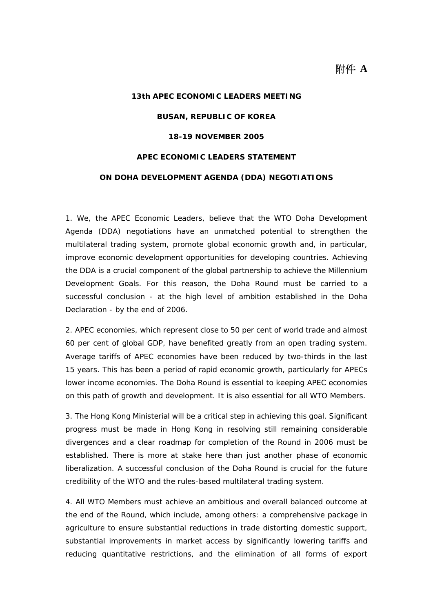# 附件 **A**

# **13th APEC ECONOMIC LEADERS MEETING BUSAN, REPUBLIC OF KOREA 18-19 NOVEMBER 2005 APEC ECONOMIC LEADERS STATEMENT ON DOHA DEVELOPMENT AGENDA (DDA) NEGOTIATIONS**

1. We, the APEC Economic Leaders, believe that the WTO Doha Development Agenda (DDA) negotiations have an unmatched potential to strengthen the multilateral trading system, promote global economic growth and, in particular, improve economic development opportunities for developing countries. Achieving the DDA is a crucial component of the global partnership to achieve the Millennium Development Goals. For this reason, the Doha Round must be carried to a successful conclusion - at the high level of ambition established in the Doha Declaration - by the end of 2006.

2. APEC economies, which represent close to 50 per cent of world trade and almost 60 per cent of global GDP, have benefited greatly from an open trading system. Average tariffs of APEC economies have been reduced by two-thirds in the last 15 years. This has been a period of rapid economic growth, particularly for APECs lower income economies. The Doha Round is essential to keeping APEC economies on this path of growth and development. It is also essential for all WTO Members.

3. The Hong Kong Ministerial will be a critical step in achieving this goal. Significant progress must be made in Hong Kong in resolving still remaining considerable divergences and a clear roadmap for completion of the Round in 2006 must be established. There is more at stake here than just another phase of economic liberalization. A successful conclusion of the Doha Round is crucial for the future credibility of the WTO and the rules-based multilateral trading system.

4. All WTO Members must achieve an ambitious and overall balanced outcome at the end of the Round, which include, among others: a comprehensive package in agriculture to ensure substantial reductions in trade distorting domestic support, substantial improvements in market access by significantly lowering tariffs and reducing quantitative restrictions, and the elimination of all forms of export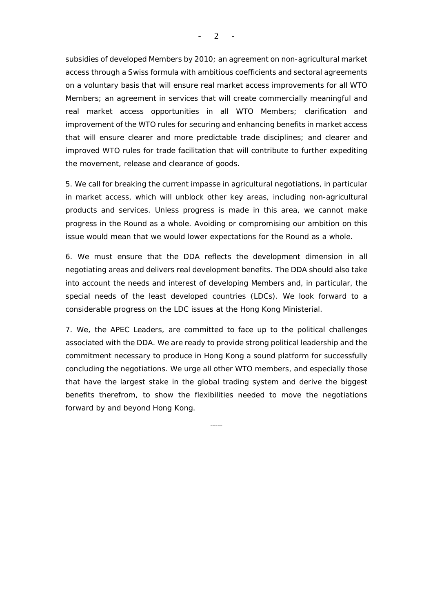subsidies of developed Members by 2010; an agreement on non-agricultural market access through a Swiss formula with ambitious coefficients and sectoral agreements on a voluntary basis that will ensure real market access improvements for all WTO Members; an agreement in services that will create commercially meaningful and real market access opportunities in all WTO Members; clarification and improvement of the WTO rules for securing and enhancing benefits in market access that will ensure clearer and more predictable trade disciplines; and clearer and improved WTO rules for trade facilitation that will contribute to further expediting the movement, release and clearance of goods.

5. We call for breaking the current impasse in agricultural negotiations, in particular in market access, which will unblock other key areas, including non-agricultural products and services. Unless progress is made in this area, we cannot make progress in the Round as a whole. Avoiding or compromising our ambition on this issue would mean that we would lower expectations for the Round as a whole.

6. We must ensure that the DDA reflects the development dimension in all negotiating areas and delivers real development benefits. The DDA should also take into account the needs and interest of developing Members and, in particular, the special needs of the least developed countries (LDCs). We look forward to a considerable progress on the LDC issues at the Hong Kong Ministerial.

7. We, the APEC Leaders, are committed to face up to the political challenges associated with the DDA. We are ready to provide strong political leadership and the commitment necessary to produce in Hong Kong a sound platform for successfully concluding the negotiations. We urge all other WTO members, and especially those that have the largest stake in the global trading system and derive the biggest benefits therefrom, to show the flexibilities needed to move the negotiations forward by and beyond Hong Kong.

-----